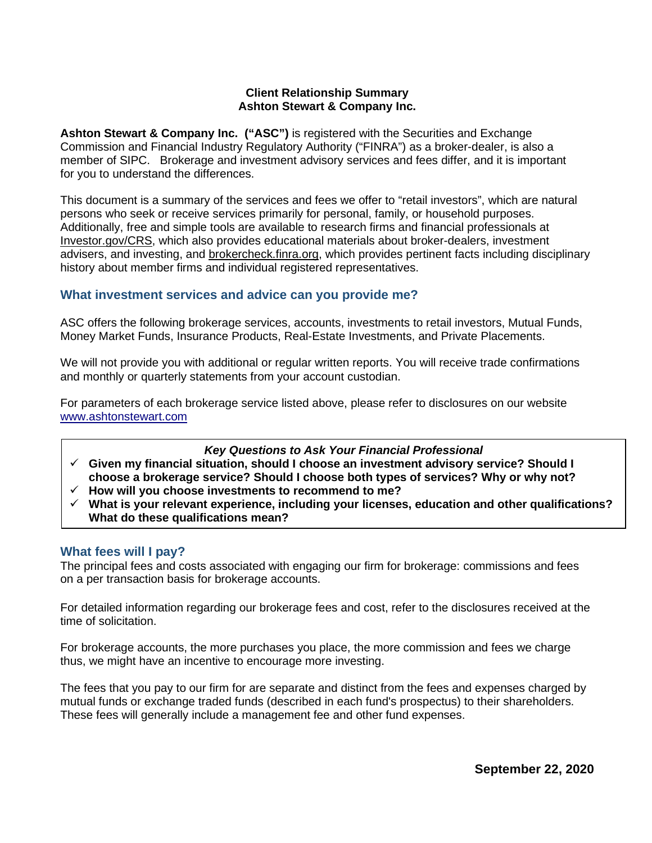### **Client Relationship Summary Ashton Stewart & Company Inc.**

**Ashton Stewart & Company Inc. ("ASC")** is registered with the Securities and Exchange Commission and Financial Industry Regulatory Authority ("FINRA") as a broker-dealer, is also a member of SIPC. Brokerage and investment advisory services and fees differ, and it is important for you to understand the differences.

This document is a summary of the services and fees we offer to "retail investors", which are natural persons who seek or receive services primarily for personal, family, or household purposes. Additionally, free and simple tools are available to research firms and financial professionals at [Investor.gov/CRS,](http://www.investor.gov/CRS) which also provides educational materials about broker-dealers, investment advisers, and investing, and brokercheck.finra.org, which provides pertinent facts including disciplinary history about member firms and individual registered representatives.

# **What investment services and advice can you provide me?**

ASC offers the following brokerage services, accounts, investments to retail investors, Mutual Funds, Money Market Funds, Insurance Products, Real-Estate Investments, and Private Placements.

We will not provide you with additional or regular written reports. You will receive trade confirmations and monthly or quarterly statements from your account custodian.

For parameters of each brokerage service listed above, please refer to disclosures on our website [www.ashtonstewart.com](http://www.ashtonstewart.com/)

## *Key Questions to Ask Your Financial Professional*

- **Given my financial situation, should I choose an investment advisory service? Should I choose a brokerage service? Should I choose both types of services? Why or why not?**
- **How will you choose investments to recommend to me?**
- **What is your relevant experience, including your licenses, education and other qualifications? What do these qualifications mean?**

## **What fees will I pay?**

The principal fees and costs associated with engaging our firm for brokerage: commissions and fees on a per transaction basis for brokerage accounts.

For detailed information regarding our brokerage fees and cost, refer to the disclosures received at the time of solicitation.

For brokerage accounts, the more purchases you place, the more commission and fees we charge thus, we might have an incentive to encourage more investing.

The fees that you pay to our firm for are separate and distinct from the fees and expenses charged by mutual funds or exchange traded funds (described in each fund's prospectus) to their shareholders. These fees will generally include a management fee and other fund expenses.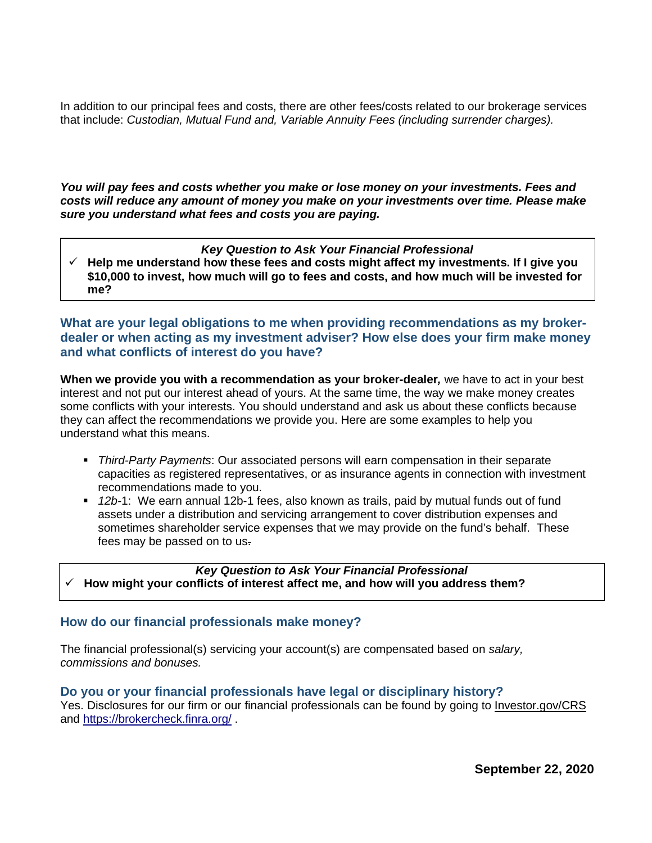In addition to our principal fees and costs, there are other fees/costs related to our brokerage services that include: *Custodian, Mutual Fund and, Variable Annuity Fees (including surrender charges).*

*You will pay fees and costs whether you make or lose money on your investments. Fees and costs will reduce any amount of money you make on your investments over time. Please make sure you understand what fees and costs you are paying.*

### *Key Question to Ask Your Financial Professional*

 $\checkmark$  Help me understand how these fees and costs might affect my investments. If I give you **\$10,000 to invest, how much will go to fees and costs, and how much will be invested for me?** 

# **What are your legal obligations to me when providing recommendations as my brokerdealer or when acting as my investment adviser? How else does your firm make money and what conflicts of interest do you have?**

**When we provide you with a recommendation as your broker-dealer***,* we have to act in your best interest and not put our interest ahead of yours. At the same time, the way we make money creates some conflicts with your interests. You should understand and ask us about these conflicts because they can affect the recommendations we provide you. Here are some examples to help you understand what this means.

- *Third-Party Payments*: Our associated persons will earn compensation in their separate capacities as registered representatives, or as insurance agents in connection with investment recommendations made to you.
- *12b-*1: We earn annual 12b-1 fees, also known as trails, paid by mutual funds out of fund assets under a distribution and servicing arrangement to cover distribution expenses and sometimes shareholder service expenses that we may provide on the fund's behalf. These fees may be passed on to us.

### *Key Question to Ask Your Financial Professional* **How might your conflicts of interest affect me, and how will you address them?**

## **How do our financial professionals make money?**

The financial professional(s) servicing your account(s) are compensated based on *salary, commissions and bonuses.* 

## **Do you or your financial professionals have legal or disciplinary history?**

Yes. Disclosures for our firm or our financial professionals can be found by going to [Investor.gov/CRS](http://www.investor.gov/crs) and<https://brokercheck.finra.org/> .